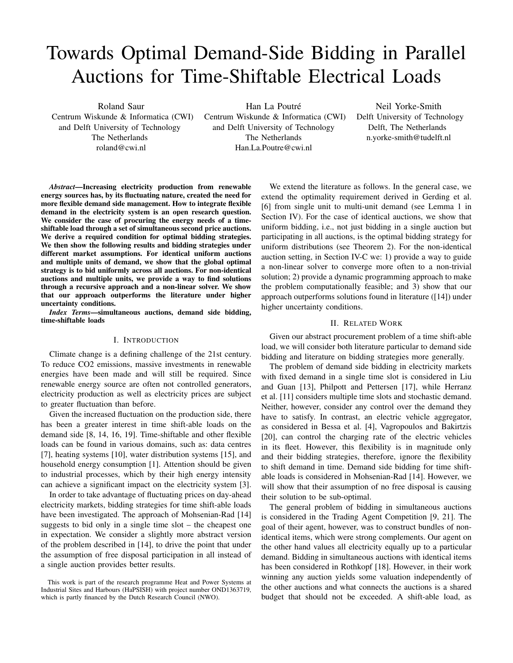# Towards Optimal Demand-Side Bidding in Parallel Auctions for Time-Shiftable Electrical Loads

Roland Saur Centrum Wiskunde & Informatica (CWI) and Delft University of Technology The Netherlands roland@cwi.nl

Han La Poutré Centrum Wiskunde & Informatica (CWI) and Delft University of Technology The Netherlands Han.La.Poutre@cwi.nl

Neil Yorke-Smith Delft University of Technology Delft, The Netherlands n.yorke-smith@tudelft.nl

*Abstract*—Increasing electricity production from renewable energy sources has, by its fluctuating nature, created the need for more flexible demand side management. How to integrate flexible demand in the electricity system is an open research question. We consider the case of procuring the energy needs of a timeshiftable load through a set of simultaneous second price auctions. We derive a required condition for optimal bidding strategies. We then show the following results and bidding strategies under different market assumptions. For identical uniform auctions and multiple units of demand, we show that the global optimal strategy is to bid uniformly across all auctions. For non-identical auctions and multiple units, we provide a way to find solutions through a recursive approach and a non-linear solver. We show that our approach outperforms the literature under higher uncertainty conditions.

*Index Terms*—simultaneous auctions, demand side bidding, time-shiftable loads

## I. INTRODUCTION

Climate change is a defining challenge of the 21st century. To reduce CO2 emissions, massive investments in renewable energies have been made and will still be required. Since renewable energy source are often not controlled generators, electricity production as well as electricity prices are subject to greater fluctuation than before.

Given the increased fluctuation on the production side, there has been a greater interest in time shift-able loads on the demand side [8, 14, 16, 19]. Time-shiftable and other flexible loads can be found in various domains, such as: data centres [7], heating systems [10], water distribution systems [15], and household energy consumption [1]. Attention should be given to industrial processes, which by their high energy intensity can achieve a significant impact on the electricity system [3].

In order to take advantage of fluctuating prices on day-ahead electricity markets, bidding strategies for time shift-able loads have been investigated. The approach of Mohsenian-Rad [14] suggests to bid only in a single time slot – the cheapest one in expectation. We consider a slightly more abstract version of the problem described in [14], to drive the point that under the assumption of free disposal participation in all instead of a single auction provides better results.

We extend the literature as follows. In the general case, we extend the optimality requirement derived in Gerding et al. [6] from single unit to multi-unit demand (see Lemma 1 in Section IV). For the case of identical auctions, we show that uniform bidding, i.e., not just bidding in a single auction but participating in all auctions, is the optimal bidding strategy for uniform distributions (see Theorem 2). For the non-identical auction setting, in Section IV-C we: 1) provide a way to guide a non-linear solver to converge more often to a non-trivial solution; 2) provide a dynamic programming approach to make the problem computationally feasible; and 3) show that our approach outperforms solutions found in literature ([14]) under higher uncertainty conditions.

## II. RELATED WORK

Given our abstract procurement problem of a time shift-able load, we will consider both literature particular to demand side bidding and literature on bidding strategies more generally.

The problem of demand side bidding in electricity markets with fixed demand in a single time slot is considered in Liu and Guan [13], Philpott and Pettersen [17], while Herranz et al. [11] considers multiple time slots and stochastic demand. Neither, however, consider any control over the demand they have to satisfy. In contrast, an electric vehicle aggregator, as considered in Bessa et al. [4], Vagropoulos and Bakirtzis [20], can control the charging rate of the electric vehicles in its fleet. However, this flexibility is in magnitude only and their bidding strategies, therefore, ignore the flexibility to shift demand in time. Demand side bidding for time shiftable loads is considered in Mohsenian-Rad [14]. However, we will show that their assumption of no free disposal is causing their solution to be sub-optimal.

The general problem of bidding in simultaneous auctions is considered in the Trading Agent Competition [9, 21]. The goal of their agent, however, was to construct bundles of nonidentical items, which were strong complements. Our agent on the other hand values all electricity equally up to a particular demand. Bidding in simultaneous auctions with identical items has been considered in Rothkopf [18]. However, in their work winning any auction yields some valuation independently of the other auctions and what connects the auctions is a shared budget that should not be exceeded. A shift-able load, as

This work is part of the research programme Heat and Power Systems at Industrial Sites and Harbours (HaPSISH) with project number OND1363719, which is partly financed by the Dutch Research Council (NWO).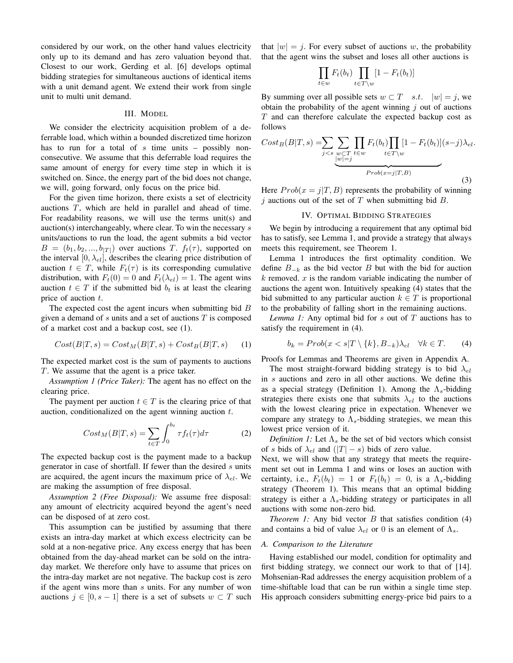considered by our work, on the other hand values electricity only up to its demand and has zero valuation beyond that. Closest to our work, Gerding et al. [6] develops optimal bidding strategies for simultaneous auctions of identical items with a unit demand agent. We extend their work from single unit to multi unit demand.

## III. MODEL

We consider the electricity acquisition problem of a deferrable load, which within a bounded discretized time horizon has to run for a total of s time units – possibly nonconsecutive. We assume that this deferrable load requires the same amount of energy for every time step in which it is switched on. Since, the energy part of the bid does not change, we will, going forward, only focus on the price bid.

For the given time horizon, there exists a set of electricity auctions T, which are held in parallel and ahead of time. For readability reasons, we will use the terms unit(s) and auction(s) interchangeably, where clear. To win the necessary s units/auctions to run the load, the agent submits a bid vector  $B = (b_1, b_2, ..., b_{|T|})$  over auctions T.  $f_t(\tau)$ , supported on the interval  $[0, \lambda_{el}]$ , describes the clearing price distribution of auction  $t \in T$ , while  $F_t(\tau)$  is its corresponding cumulative distribution, with  $F_t(0) = 0$  and  $F_t(\lambda_{el}) = 1$ . The agent wins auction  $t \in T$  if the submitted bid  $b_t$  is at least the clearing price of auction t.

The expected cost the agent incurs when submitting bid  $B$ given a demand of  $s$  units and a set of auctions  $T$  is composed of a market cost and a backup cost, see (1).

$$
Cost(B|T, s) = Cost_M(B|T, s) + Cost_B(B|T, s)
$$
 (1)

The expected market cost is the sum of payments to auctions T. We assume that the agent is a price taker.

*Assumption 1 (Price Taker):* The agent has no effect on the clearing price.

The payment per auction  $t \in T$  is the clearing price of that auction, conditionalized on the agent winning auction t.

$$
Cost_M(B|T,s) = \sum_{t \in T} \int_0^{b_t} \tau f_t(\tau) d\tau \tag{2}
$$

The expected backup cost is the payment made to a backup generator in case of shortfall. If fewer than the desired  $s$  units are acquired, the agent incurs the maximum price of  $\lambda_{el}$ . We are making the assumption of free disposal.

*Assumption 2 (Free Disposal):* We assume free disposal: any amount of electricity acquired beyond the agent's need can be disposed of at zero cost.

This assumption can be justified by assuming that there exists an intra-day market at which excess electricity can be sold at a non-negative price. Any excess energy that has been obtained from the day-ahead market can be sold on the intraday market. We therefore only have to assume that prices on the intra-day market are not negative. The backup cost is zero if the agent wins more than s units. For any number of won auctions  $j \in [0, s-1]$  there is a set of subsets  $w \subset T$  such that  $|w| = j$ . For every subset of auctions w, the probability that the agent wins the subset and loses all other auctions is

$$
\prod_{t \in w} F_t(b_t) \prod_{t \in T \setminus w} [1 - F_t(b_t)]
$$

By summing over all possible sets  $w \subset T$  s.t.  $|w| = j$ , we obtain the probability of the agent winning  $j$  out of auctions T and can therefore calculate the expected backup cost as follows

$$
Cost_B(B|T,s) = \sum_{j < s} \sum_{\substack{w \subset T \\ |w|=j}} \prod_{t \in w} F_t(b_t) \prod_{t \in T \setminus w} [1 - F_t(b_t)](s-j) \lambda_{el}.
$$
\n
$$
Prob(x=j|T,B) \tag{3}
$$

Here  $Prob(x = j|T, B)$  represents the probability of winning  $\dot{\gamma}$  auctions out of the set of T when submitting bid B.

#### IV. OPTIMAL BIDDING STRATEGIES

We begin by introducing a requirement that any optimal bid has to satisfy, see Lemma 1, and provide a strategy that always meets this requirement, see Theorem 1.

Lemma 1 introduces the first optimality condition. We define  $B_{-k}$  as the bid vector B but with the bid for auction k removed.  $x$  is the random variable indicating the number of auctions the agent won. Intuitively speaking (4) states that the bid submitted to any particular auction  $k \in T$  is proportional to the probability of falling short in the remaining auctions.

*Lemma 1:* Any optimal bid for s out of T auctions has to satisfy the requirement in (4).

$$
b_k = Prob(x < s | T \setminus \{k\}, B_{-k}) \lambda_{el} \quad \forall k \in T. \tag{4}
$$

Proofs for Lemmas and Theorems are given in Appendix A.

The most straight-forward bidding strategy is to bid  $\lambda_{el}$ in s auctions and zero in all other auctions. We define this as a special strategy (Definition 1). Among the  $\Lambda_s$ -bidding strategies there exists one that submits  $\lambda_{el}$  to the auctions with the lowest clearing price in expectation. Whenever we compare any strategy to  $\Lambda_s$ -bidding strategies, we mean this lowest price version of it.

*Definition 1:* Let  $\Lambda_s$  be the set of bid vectors which consist of s bids of  $\lambda_{el}$  and  $(|T| - s)$  bids of zero value.

Next, we will show that any strategy that meets the requirement set out in Lemma 1 and wins or loses an auction with certainty, i.e.,  $F_t(b_t) = 1$  or  $F_t(b_t) = 0$ , is a  $\Lambda_s$ -bidding strategy (Theorem 1). This means that an optimal bidding strategy is either a  $\Lambda_s$ -bidding strategy or participates in all auctions with some non-zero bid.

*Theorem 1:* Any bid vector  $B$  that satisfies condition  $(4)$ and contains a bid of value  $\lambda_{el}$  or 0 is an element of  $\Lambda_s$ .

## *A. Comparison to the Literature*

Having established our model, condition for optimality and first bidding strategy, we connect our work to that of [14]. Mohsenian-Rad addresses the energy acquisition problem of a time-shiftable load that can be run within a single time step. His approach considers submitting energy-price bid pairs to a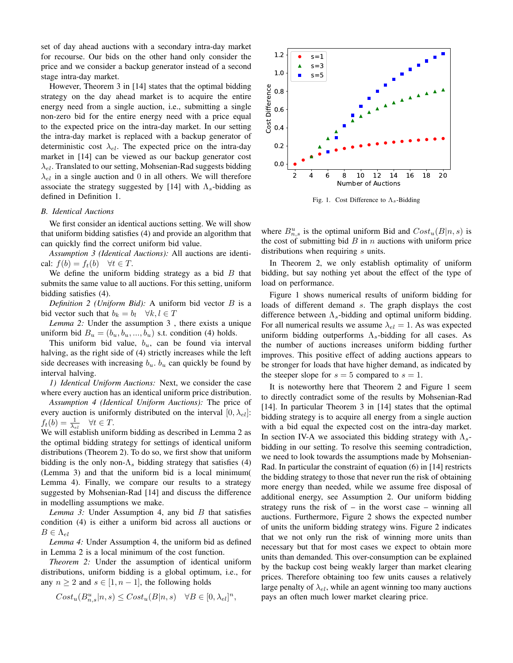set of day ahead auctions with a secondary intra-day market for recourse. Our bids on the other hand only consider the price and we consider a backup generator instead of a second stage intra-day market.

However, Theorem 3 in [14] states that the optimal bidding strategy on the day ahead market is to acquire the entire energy need from a single auction, i.e., submitting a single non-zero bid for the entire energy need with a price equal to the expected price on the intra-day market. In our setting the intra-day market is replaced with a backup generator of deterministic cost  $\lambda_{el}$ . The expected price on the intra-day market in [14] can be viewed as our backup generator cost  $\lambda_{el}$ . Translated to our setting, Mohsenian-Rad suggests bidding  $\lambda_{el}$  in a single auction and 0 in all others. We will therefore associate the strategy suggested by [14] with  $\Lambda_s$ -bidding as defined in Definition 1.

#### *B. Identical Auctions*

We first consider an identical auctions setting. We will show that uniform bidding satisfies (4) and provide an algorithm that can quickly find the correct uniform bid value.

*Assumption 3 (Identical Auctions):* All auctions are identical:  $f(b) = f_t(b) \quad \forall t \in T$ .

We define the uniform bidding strategy as a bid  $B$  that submits the same value to all auctions. For this setting, uniform bidding satisfies (4).

*Definition 2 (Uniform Bid):* A uniform bid vector B is a bid vector such that  $b_k = b_l \quad \forall k, l \in T$ 

*Lemma 2:* Under the assumption 3 , there exists a unique uniform bid  $B_u = (b_u, b_u, ..., b_u)$  s.t. condition (4) holds.

This uniform bid value,  $b_u$ , can be found via interval halving, as the right side of (4) strictly increases while the left side decreases with increasing  $b_u$ .  $b_u$  can quickly be found by interval halving.

*1) Identical Uniform Auctions:* Next, we consider the case where every auction has an identical uniform price distribution.

*Assumption 4 (Identical Uniform Auctions):* The price of every auction is uniformly distributed on the interval  $[0, \lambda_{el}]$ :  $f_t(b) = \frac{1}{\lambda_{el}}$   $\forall t \in T$ .

We will establish uniform bidding as described in Lemma 2 as the optimal bidding strategy for settings of identical uniform distributions (Theorem 2). To do so, we first show that uniform bidding is the only non- $\Lambda_s$  bidding strategy that satisfies (4) (Lemma 3) and that the uniform bid is a local minimum( Lemma 4). Finally, we compare our results to a strategy suggested by Mohsenian-Rad [14] and discuss the difference in modelling assumptions we make.

*Lemma 3:* Under Assumption 4, any bid B that satisfies condition (4) is either a uniform bid across all auctions or  $B \in \Lambda_{el}$ 

*Lemma 4:* Under Assumption 4, the uniform bid as defined in Lemma 2 is a local minimum of the cost function.

*Theorem 2:* Under the assumption of identical uniform distributions, uniform bidding is a global optimum, i.e., for any  $n \geq 2$  and  $s \in [1, n-1]$ , the following holds

$$
Cost_u(B_{n,s}^u | n, s) \le Cost_u(B|n, s) \quad \forall B \in [0, \lambda_{el}]^n,
$$



Fig. 1. Cost Difference to  $\Lambda_s$ -Bidding

where  $B_{n,s}^u$  is the optimal uniform Bid and  $Cost_u(B|n, s)$  is the cost of submitting bid  $B$  in  $n$  auctions with uniform price distributions when requiring s units.

In Theorem 2, we only establish optimality of uniform bidding, but say nothing yet about the effect of the type of load on performance.

Figure 1 shows numerical results of uniform bidding for loads of different demand s. The graph displays the cost difference between  $\Lambda_s$ -bidding and optimal uniform bidding. For all numerical results we assume  $\lambda_{el} = 1$ . As was expected uniform bidding outperforms  $\Lambda_s$ -bidding for all cases. As the number of auctions increases uniform bidding further improves. This positive effect of adding auctions appears to be stronger for loads that have higher demand, as indicated by the steeper slope for  $s = 5$  compared to  $s = 1$ .

It is noteworthy here that Theorem 2 and Figure 1 seem to directly contradict some of the results by Mohsenian-Rad [14]. In particular Theorem 3 in [14] states that the optimal bidding strategy is to acquire all energy from a single auction with a bid equal the expected cost on the intra-day market. In section IV-A we associated this bidding strategy with  $\Lambda_s$ bidding in our setting. To resolve this seeming contradiction, we need to look towards the assumptions made by Mohsenian-Rad. In particular the constraint of equation (6) in [14] restricts the bidding strategy to those that never run the risk of obtaining more energy than needed, while we assume free disposal of additional energy, see Assumption 2. Our uniform bidding strategy runs the risk of  $-$  in the worst case  $-$  winning all auctions. Furthermore, Figure 2 shows the expected number of units the uniform bidding strategy wins. Figure 2 indicates that we not only run the risk of winning more units than necessary but that for most cases we expect to obtain more units than demanded. This over-consumption can be explained by the backup cost being weakly larger than market clearing prices. Therefore obtaining too few units causes a relatively large penalty of  $\lambda_{el}$ , while an agent winning too many auctions pays an often much lower market clearing price.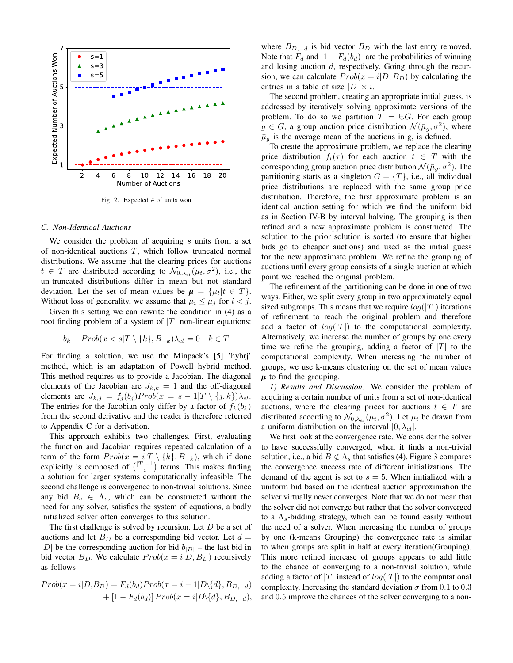

Fig. 2. Expected # of units won

#### *C. Non-Identical Auctions*

We consider the problem of acquiring  $s$  units from a set of non-identical auctions  $T$ , which follow truncated normal distributions. We assume that the clearing prices for auctions  $t \in T$  are distributed according to  $\mathcal{N}_{0,\lambda_{el}}(\mu_t, \sigma^2)$ , i.e., the un-truncated distributions differ in mean but not standard deviation. Let the set of mean values be  $\mu = {\mu_t | t \in T}.$ Without loss of generality, we assume that  $\mu_i \leq \mu_j$  for  $i < j$ .

Given this setting we can rewrite the condition in (4) as a root finding problem of a system of  $|T|$  non-linear equations:

$$
b_k - Prob(x < s | T \setminus \{k\}, B_{-k})\lambda_{el} = 0 \quad k \in T
$$

For finding a solution, we use the Minpack's [5] 'hybrj' method, which is an adaptation of Powell hybrid method. This method requires us to provide a Jacobian. The diagonal elements of the Jacobian are  $J_{k,k} = 1$  and the off-diagonal elements are  $J_{k,j} = f_j(b_j) Prob(x = s - 1|T \setminus \{j,k\})\lambda_{el}$ . The entries for the Jacobian only differ by a factor of  $f_k(b_k)$ from the second derivative and the reader is therefore referred to Appendix C for a derivation.

This approach exhibits two challenges. First, evaluating the function and Jacobian requires repeated calculation of a term of the form  $Prob(x = i|T \setminus \{k\}, B_{-k})$ , which if done explicitly is composed of  $\binom{|T|-1}{i}$  terms. This makes finding a solution for larger systems computationally infeasible. The second challenge is convergence to non-trivial solutions. Since any bid  $B_s \in \Lambda_s$ , which can be constructed without the need for any solver, satisfies the system of equations, a badly initialized solver often converges to this solution.

The first challenge is solved by recursion. Let D be a set of auctions and let  $B_D$  be a corresponding bid vector. Let  $d =$ |D| be the corresponding auction for bid  $b_{|D|}$  – the last bid in bid vector  $B_D$ . We calculate  $Prob(x = i|D, B_D)$  recursively as follows

$$
Prob(x = i|D, B_D) = F_d(b_d) Prob(x = i - 1|D\setminus\{d\}, B_{D, -d})
$$

$$
+ [1 - F_d(b_d)] Prob(x = i|D\setminus\{d\}, B_{D, -d}),
$$

where  $B_{D,-d}$  is bid vector  $B_D$  with the last entry removed. Note that  $F_d$  and  $[1 - F_d(b_d)]$  are the probabilities of winning and losing auction d, respectively. Going through the recursion, we can calculate  $Prob(x = i|D, B_D)$  by calculating the entries in a table of size  $|D| \times i$ .

The second problem, creating an appropriate initial guess, is addressed by iteratively solving approximate versions of the problem. To do so we partition  $T = \biguplus G$ . For each group  $g \in G$ , a group auction price distribution  $\mathcal{N}(\bar{\mu}_g, \sigma^2)$ , where  $\bar{\mu}_q$  is the average mean of the auctions in g, is defined.

To create the approximate problem, we replace the clearing price distribution  $f_t(\tau)$  for each auction  $t \in T$  with the corresponding group auction price distribution  $\mathcal{N}(\bar{\mu}_g, \sigma^2)$ . The partitioning starts as a singleton  $G = \{T\}$ , i.e., all individual price distributions are replaced with the same group price distribution. Therefore, the first approximate problem is an identical auction setting for which we find the uniform bid as in Section IV-B by interval halving. The grouping is then refined and a new approximate problem is constructed. The solution to the prior solution is sorted (to ensure that higher bids go to cheaper auctions) and used as the initial guess for the new approximate problem. We refine the grouping of auctions until every group consists of a single auction at which point we reached the original problem.

The refinement of the partitioning can be done in one of two ways. Either, we split every group in two approximately equal sized subgroups. This means that we require  $log(|T|)$  iterations of refinement to reach the original problem and therefore add a factor of  $log(|T|)$  to the computational complexity. Alternatively, we increase the number of groups by one every time we refine the grouping, adding a factor of  $|T|$  to the computational complexity. When increasing the number of groups, we use k-means clustering on the set of mean values  $\mu$  to find the grouping.

*1) Results and Discussion:* We consider the problem of acquiring a certain number of units from a set of non-identical auctions, where the clearing prices for auctions  $t \in T$  are distributed according to  $\mathcal{N}_{0,\lambda_{el}}(\mu_t, \sigma^2)$ . Let  $\mu_t$  be drawn from a uniform distribution on the interval  $[0, \lambda_{el}]$ .

We first look at the convergence rate. We consider the solver to have successfully converged, when it finds a non-trivial solution, i.e., a bid  $B \notin \Lambda_s$  that satisfies (4). Figure 3 compares the convergence success rate of different initializations. The demand of the agent is set to  $s = 5$ . When initialized with a uniform bid based on the identical auction approximation the solver virtually never converges. Note that we do not mean that the solver did not converge but rather that the solver converged to a  $\Lambda_s$ -bidding strategy, which can be found easily without the need of a solver. When increasing the number of groups by one (k-means Grouping) the convergence rate is similar to when groups are split in half at every iteration(Grouping). This more refined increase of groups appears to add little to the chance of converging to a non-trivial solution, while adding a factor of |T| instead of  $log(|T|)$  to the computational complexity. Increasing the standard deviation  $\sigma$  from 0.1 to 0.3 and 0.5 improve the chances of the solver converging to a non-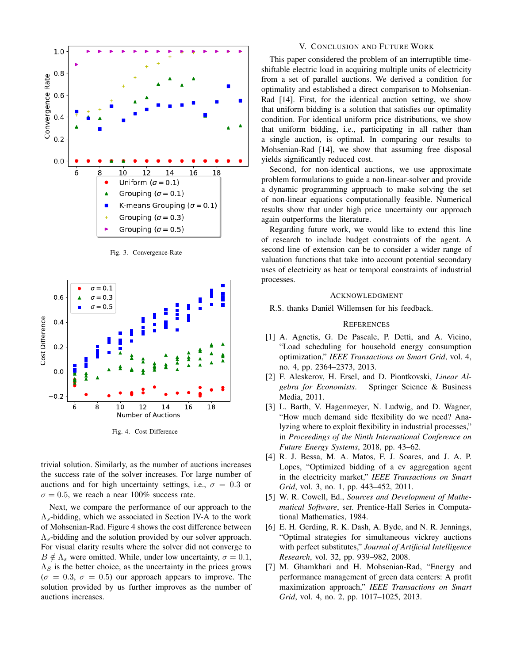

Fig. 3. Convergence-Rate



Fig. 4. Cost Difference

trivial solution. Similarly, as the number of auctions increases the success rate of the solver increases. For large number of auctions and for high uncertainty settings, i.e.,  $\sigma = 0.3$  or  $\sigma = 0.5$ , we reach a near 100% success rate.

Next, we compare the performance of our approach to the  $\Lambda_s$ -bidding, which we associated in Section IV-A to the work of Mohsenian-Rad. Figure 4 shows the cost difference between  $\Lambda_s$ -bidding and the solution provided by our solver approach. For visual clarity results where the solver did not converge to  $B \notin \Lambda_s$  were omitted. While, under low uncertainty,  $\sigma = 0.1$ ,  $\Lambda_S$  is the better choice, as the uncertainty in the prices grows  $(\sigma = 0.3, \sigma = 0.5)$  our approach appears to improve. The solution provided by us further improves as the number of auctions increases.

## V. CONCLUSION AND FUTURE WORK

This paper considered the problem of an interruptible timeshiftable electric load in acquiring multiple units of electricity from a set of parallel auctions. We derived a condition for optimality and established a direct comparison to Mohsenian-Rad [14]. First, for the identical auction setting, we show that uniform bidding is a solution that satisfies our optimality condition. For identical uniform price distributions, we show that uniform bidding, i.e., participating in all rather than a single auction, is optimal. In comparing our results to Mohsenian-Rad [14], we show that assuming free disposal yields significantly reduced cost.

Second, for non-identical auctions, we use approximate problem formulations to guide a non-linear-solver and provide a dynamic programming approach to make solving the set of non-linear equations computationally feasible. Numerical results show that under high price uncertainty our approach again outperforms the literature.

Regarding future work, we would like to extend this line of research to include budget constraints of the agent. A second line of extension can be to consider a wider range of valuation functions that take into account potential secondary uses of electricity as heat or temporal constraints of industrial processes.

#### ACKNOWLEDGMENT

R.S. thanks Daniël Willemsen for his feedback.

#### **REFERENCES**

- [1] A. Agnetis, G. De Pascale, P. Detti, and A. Vicino, "Load scheduling for household energy consumption optimization," *IEEE Transactions on Smart Grid*, vol. 4, no. 4, pp. 2364–2373, 2013.
- [2] F. Aleskerov, H. Ersel, and D. Piontkovski, *Linear Algebra for Economists*. Springer Science & Business Media, 2011.
- [3] L. Barth, V. Hagenmeyer, N. Ludwig, and D. Wagner, "How much demand side flexibility do we need? Analyzing where to exploit flexibility in industrial processes," in *Proceedings of the Ninth International Conference on Future Energy Systems*, 2018, pp. 43–62.
- [4] R. J. Bessa, M. A. Matos, F. J. Soares, and J. A. P. Lopes, "Optimized bidding of a ev aggregation agent in the electricity market," *IEEE Transactions on Smart Grid*, vol. 3, no. 1, pp. 443–452, 2011.
- [5] W. R. Cowell, Ed., *Sources and Development of Mathematical Software*, ser. Prentice-Hall Series in Computational Mathematics, 1984.
- [6] E. H. Gerding, R. K. Dash, A. Byde, and N. R. Jennings, "Optimal strategies for simultaneous vickrey auctions with perfect substitutes," *Journal of Artificial Intelligence Research*, vol. 32, pp. 939–982, 2008.
- [7] M. Ghamkhari and H. Mohsenian-Rad, "Energy and performance management of green data centers: A profit maximization approach," *IEEE Transactions on Smart Grid*, vol. 4, no. 2, pp. 1017–1025, 2013.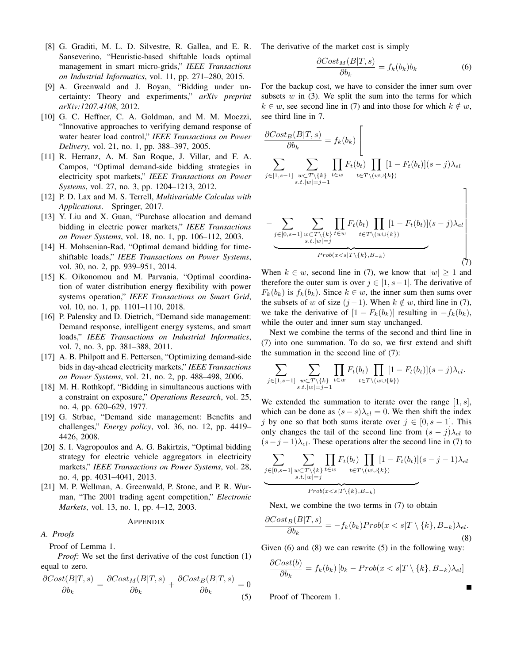- [8] G. Graditi, M. L. D. Silvestre, R. Gallea, and E. R. Sanseverino, "Heuristic-based shiftable loads optimal management in smart micro-grids," *IEEE Transactions on Industrial Informatics*, vol. 11, pp. 271–280, 2015.
- [9] A. Greenwald and J. Boyan, "Bidding under uncertainty: Theory and experiments," *arXiv preprint arXiv:1207.4108*, 2012.
- [10] G. C. Heffner, C. A. Goldman, and M. M. Moezzi, "Innovative approaches to verifying demand response of water heater load control," *IEEE Transactions on Power Delivery*, vol. 21, no. 1, pp. 388–397, 2005.
- [11] R. Herranz, A. M. San Roque, J. Villar, and F. A. Campos, "Optimal demand-side bidding strategies in electricity spot markets," *IEEE Transactions on Power Systems*, vol. 27, no. 3, pp. 1204–1213, 2012.
- [12] P. D. Lax and M. S. Terrell, *Multivariable Calculus with Applications*. Springer, 2017.
- [13] Y. Liu and X. Guan, "Purchase allocation and demand bidding in electric power markets," *IEEE Transactions on Power Systems*, vol. 18, no. 1, pp. 106–112, 2003.
- [14] H. Mohsenian-Rad, "Optimal demand bidding for timeshiftable loads," *IEEE Transactions on Power Systems*, vol. 30, no. 2, pp. 939–951, 2014.
- [15] K. Oikonomou and M. Parvania, "Optimal coordination of water distribution energy flexibility with power systems operation," *IEEE Transactions on Smart Grid*, vol. 10, no. 1, pp. 1101–1110, 2018.
- [16] P. Palensky and D. Dietrich, "Demand side management: Demand response, intelligent energy systems, and smart loads," *IEEE Transactions on Industrial Informatics*, vol. 7, no. 3, pp. 381–388, 2011.
- [17] A. B. Philpott and E. Pettersen, "Optimizing demand-side bids in day-ahead electricity markets," *IEEE Transactions on Power Systems*, vol. 21, no. 2, pp. 488–498, 2006.
- [18] M. H. Rothkopf, "Bidding in simultaneous auctions with a constraint on exposure," *Operations Research*, vol. 25, no. 4, pp. 620–629, 1977.
- [19] G. Strbac, "Demand side management: Benefits and challenges," *Energy policy*, vol. 36, no. 12, pp. 4419– 4426, 2008.
- [20] S. I. Vagropoulos and A. G. Bakirtzis, "Optimal bidding strategy for electric vehicle aggregators in electricity markets," *IEEE Transactions on Power Systems*, vol. 28, no. 4, pp. 4031–4041, 2013.
- [21] M. P. Wellman, A. Greenwald, P. Stone, and P. R. Wurman, "The 2001 trading agent competition," *Electronic Markets*, vol. 13, no. 1, pp. 4–12, 2003.

#### APPENDIX

## *A. Proofs*

Proof of Lemma 1.

*Proof:* We set the first derivative of the cost function (1) equal to zero.

$$
\frac{\partial Cost(B|T,s)}{\partial b_k} = \frac{\partial Cost_M(B|T,s)}{\partial b_k} + \frac{\partial Cost_B(B|T,s)}{\partial b_k} = 0
$$
\n(5)

The derivative of the market cost is simply

$$
\frac{\partial Cost_M(B|T,s)}{\partial b_k} = f_k(b_k)b_k \tag{6}
$$

For the backup cost, we have to consider the inner sum over subsets  $w$  in (3). We split the sum into the terms for which  $k \in w$ , see second line in (7) and into those for which  $k \notin w$ , see third line in 7.

$$
\frac{\partial Cost_B(B|T,s)}{\partial b_k} = f_k(b_k) \left[\n\sum_{j \in [1,s-1]} \sum_{\substack{w \subset T \setminus \{k\} \\ s.t. |w|=j-1}} \prod_{t \in w} F_t(b_t) \prod_{t \in T \setminus (w \cup \{k\})} [1 - F_t(b_t)](s-j)\lambda_{el}\n\right]
$$

$$
-\underbrace{\sum_{j\in[0,s-1]}\sum_{\substack{w\subset T\backslash\{k\}\atop s.t.|w|=j}}\prod_{t\in T\backslash(w\cup\{k\})}[1-F_t(b_t)](s-j)\lambda_{el}}_{Prob(x\n(7)
$$

When  $k \in w$ , second line in (7), we know that  $|w| \ge 1$  and therefore the outer sum is over  $j \in [1, s-1]$ . The derivative of  $F_k(b_k)$  is  $f_k(b_k)$ . Since  $k \in \omega$ , the inner sum then sums over the subsets of w of size  $(j-1)$ . When  $k \notin w$ , third line in (7), we take the derivative of  $[1 - F_k(b_k)]$  resulting in  $-f_k(b_k)$ , while the outer and inner sum stay unchanged.

Next we combine the terms of the second and third line in (7) into one summation. To do so, we first extend and shift the summation in the second line of (7):

$$
\sum_{j\in[1,s-1]}\sum_{\substack{w\subset T\backslash\{k\}\\s.t.\|w|=j-1}}\prod_{t\in w}F_t(b_t)\prod_{t\in T\backslash(w\cup\{k\})}[1-F_t(b_t)](s-j)\lambda_{el}.
$$

We extended the summation to iterate over the range  $[1, s]$ , which can be done as  $(s - s)\lambda_{el} = 0$ . We then shift the index j by one so that both sums iterate over  $j \in [0, s-1]$ . This only changes the tail of the second line from  $(s - j)\lambda_{el}$  to  $(s-j-1)\lambda_{el}$ . These operations alter the second line in (7) to

$$
\underbrace{\sum_{j\in[0,s-1]}\sum_{\substack{w\subset T\backslash\{k\}\\s.t.\,|w|=j}}\prod_{t\in w}F_t(b_t)\prod_{t\in T\backslash(w\cup\{k\})}[1-F_t(b_t)](s-j-1)\lambda_{el}}_{Prob(x
$$

Next, we combine the two terms in (7) to obtain

$$
\frac{\partial Cost_B(B|T,s)}{\partial b_k} = -f_k(b_k) Prob(x < s|T \setminus \{k\}, B_{-k})\lambda_{el}.\tag{8}
$$

Given  $(6)$  and  $(8)$  we can rewrite  $(5)$  in the following way:

$$
\frac{\partial Cost(b)}{\partial b_k} = f_k(b_k) [b_k - Prob(x < s | T \setminus \{k\}, B_{-k}) \lambda_{el}]
$$

Proof of Theorem 1.

Г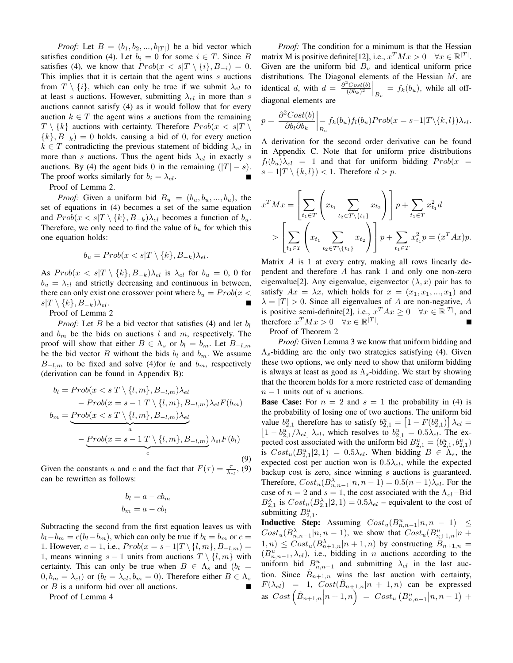*Proof:* Let  $B = (b_1, b_2, ..., b_{|T|})$  be a bid vector which satisfies condition (4). Let  $b_i = 0$  for some  $i \in T$ . Since B satisfies (4), we know that  $Prob(x < s \vert T \setminus \{i\}, B_{-i}) = 0$ . This implies that it is certain that the agent wins  $s$  auctions from  $T \setminus \{i\}$ , which can only be true if we submit  $\lambda_{el}$  to at least s auctions. However, submitting  $\lambda_{el}$  in more than s auctions cannot satisfy (4) as it would follow that for every auction  $k \in T$  the agent wins s auctions from the remaining  $T \setminus \{k\}$  auctions with certainty. Therefore  $Prob(x < s | T)$  ${k, B_{-k}} = 0$  holds, causing a bid of 0, for every auction  $k \in T$  contradicting the previous statement of bidding  $\lambda_{el}$  in more than s auctions. Thus the agent bids  $\lambda_{el}$  in exactly s auctions. By (4) the agent bids 0 in the remaining  $(|T| - s)$ . The proof works similarly for  $b_i = \lambda_{el}$ .

Proof of Lemma 2.

*Proof:* Given a uniform bid  $B_u = (b_u, b_u, ..., b_u)$ , the set of equations in (4) becomes a set of the same equation and  $Prob(x < s|T \setminus \{k\}, B_{-k})\lambda_{el}$  becomes a function of  $b_u$ . Therefore, we only need to find the value of  $b<sub>u</sub>$  for which this one equation holds:

$$
b_u = Prob(x < s | T \setminus \{k\}, B_{-k}) \lambda_{el}.
$$

As  $Prob(x < s | T \setminus \{k\}, B_{-k})\lambda_{el}$  is  $\lambda_{el}$  for  $b_u = 0, 0$  for  $b_u = \lambda_{el}$  and strictly decreasing and continuous in between, there can only exist one crossover point where  $b_u = Prob(x \leq$  $s|T \setminus \{k\}, B_{-k})\lambda_{el}.$ Ē

Proof of Lemma 2

*Proof:* Let B be a bid vector that satisfies (4) and let  $b_l$ and  $b_m$  be the bids on auctions l and m, respectively. The proof will show that either  $B \in \Lambda_s$  or  $b_l = b_m$ . Let  $B_{-l,m}$ be the bid vector B without the bids  $b_l$  and  $b_m$ . We assume  $B_{-l,m}$  to be fixed and solve (4)for  $b_l$  and  $b_m$ , respectively (derivation can be found in Appendix B):

$$
b_l = Prob(x < s | T \setminus \{l, m\}, B_{-l,m})\lambda_{el}
$$
\n
$$
- Prob(x = s - 1 | T \setminus \{l, m\}, B_{-l,m})\lambda_{el} F(b_m)
$$
\n
$$
b_m = \underbrace{Prob(x < s | T \setminus \{l, m\}, B_{-l,m})\lambda_{el}}_{a}
$$
\n
$$
- \underbrace{Prob(x = s - 1 | T \setminus \{l, m\}, B_{-l,m})}\lambda_{el} F(b_l)
$$
\n
$$
(9)
$$

Given the constants a and c and the fact that  $F(\tau) = \frac{\tau}{\lambda_{el}}$ , (9) can be rewritten as follows:

$$
b_l = a - cb_m
$$

$$
b_m = a - cb_l
$$

Subtracting the second from the first equation leaves us with  $b_l-b_m = c(b_l-b_m)$ , which can only be true if  $b_l = b_m$  or  $c =$ 1. However,  $c = 1$ , i.e.,  $Prob(x = s - 1 | T \setminus \{l, m\}, B_{-l,m}) =$ 1, means winning  $s - 1$  units from auctions  $T \setminus \{l, m\}$  with certainty. This can only be true when  $B \in \Lambda_s$  and  $(b_l =$  $(0, b_m = \lambda_{el})$  or  $(b_l = \lambda_{el}, b_m = 0)$ . Therefore either  $B \in \Lambda_s$ or  $B$  is a uniform bid over all auctions.

Proof of Lemma 4

*Proof:* The condition for a minimum is that the Hessian matrix M is positive definite[12], i.e.,  $x^T M x > 0 \quad \forall x \in \mathbb{R}^{|T|}$ . Given are the uniform bid  $B_u$  and identical uniform price distributions. The Diagonal elements of the Hessian  $M$ , are identical d, with  $d =$  $\partial^2 Cost(b)$  $\left. \frac{\partial^2 Cost(b)}{(\partial b_k)^2} \right|_{B_u} = f_k(b_u)$ , while all offdiagonal elements are

$$
p = \frac{\partial^2 Cost(b)}{\partial b_l \partial b_k} \bigg|_{B_u} f_k(b_u) f_l(b_u) Prob(x = s - 1 | T \setminus \{k, l\}) \lambda_{el}.
$$

A derivation for the second order derivative can be found in Appendix C. Note that for uniform price distributions  $f_l(b_u)\lambda_{el}$  = 1 and that for uniform bidding  $Prob(x =$  $s-1|T\setminus\{k,l\}\rangle < 1$ . Therefore  $d > p$ .

$$
x^T M x = \left[ \sum_{t_1 \in T} \left( x_{t_1} \sum_{t_2 \in T \setminus \{t_1\}} x_{t_2} \right) \right] p + \sum_{t_1 \in T} x_{t_1}^2 d
$$
  
> 
$$
\left[ \sum_{t_1 \in T} \left( x_{t_1} \sum_{t_2 \in T \setminus \{t_1\}} x_{t_2} \right) \right] p + \sum_{t_1 \in T} x_{t_1}^2 p = (x^T A x) p.
$$

Matrix  $A$  is 1 at every entry, making all rows linearly dependent and therefore A has rank 1 and only one non-zero eigenvalue[2]. Any eigenvalue, eigenvector  $(\lambda, x)$  pair has to satisfy  $Ax = \lambda x$ , which holds for  $x = (x_1, x_1, ..., x_n)$  and  $\lambda = |T| > 0$ . Since all eigenvalues of A are non-negative, A is positive semi-definite[2], i.e.,  $x^T A x \ge 0 \quad \forall x \in \mathbb{R}^{|T|}$ , and therefore  $x^T M x > 0 \quad \forall x \in \mathbb{R}^{|T|}$ .

Proof of Theorem 2

*Proof:* Given Lemma 3 we know that uniform bidding and  $\Lambda_s$ -bidding are the only two strategies satisfying (4). Given these two options, we only need to show that uniform bidding is always at least as good as  $\Lambda_s$ -bidding. We start by showing that the theorem holds for a more restricted case of demanding  $n-1$  units out of n auctions.

**Base Case:** For  $n = 2$  and  $s = 1$  the probability in (4) is the probability of losing one of two auctions. The uniform bid value  $b_{2,1}^u$  therefore has to satisfy  $b_{2,1}^u = \left[1 - F(b_{2,1}^u)\right] \lambda_{el} =$  $\left[1 - b_{2,1}^{u}/\lambda_{el}\right] \lambda_{el}$ , which resolves to  $b_{2,1}^{u} = 0.5 \lambda_{el}$ . The expected cost associated with the uniform bid  $B_{2,1}^u = (b_{2,1}^u, b_{2,1}^u)$ is  $Cost_u(B_{2,1}^u|2,1) = 0.5\lambda_{el}$ . When bidding  $B \in \Lambda_s$ , the expected cost per auction won is  $0.5\lambda_{el}$ , while the expected backup cost is zero, since winning  $s$  auctions is guaranteed. Therefore,  $Cost_u(B_{n,n-1}^{\lambda}|n, n-1) = 0.5(n-1)\lambda_{el}$ . For the case of  $n = 2$  and  $s = 1$ , the cost associated with the  $\Lambda_{el}$ -Bid  $B_{2,1}^{\lambda}$  is  $Cost_u(B_{2,1}^{\lambda}|2,1) = 0.5\lambda_{el}$  – equivalent to the cost of submitting  $B_{2,1}^u$ .

**Inductive Step:** Assuming  $Cost_u(B_{n,n-1}^u|n,n-1) \leq$  $Cost_u(B_{n,n-1}^{\lambda}|n, n-1)$ , we show that  $Cost_u(B_{n+1,n}^{\lambda}|n+1)$  $(1, n) \leq Cost_u(B_{n+1,n}^{\lambda}|n+1,n)$  by constructing  $\widetilde{B}_{n+1,n} =$  $(B_{n,n-1}^u, \lambda_{el})$ , i.e., bidding in *n* auctions according to the uniform bid  $B_{n,n-1}^u$  and submitting  $\lambda_{el}$  in the last auction. Since  $\tilde{B}_{n+1,n}$  wins the last auction with certainty,  $F(\lambda_{el}) = 1$ ,  $Cost(\tilde{B}_{n+1,n}|n+1,n)$  can be expressed as  $Cost\left(\tilde{B}_{n+1,n} \Big| n+1,n\right) = Cost_u\left(B_{n,n-1}^u | n,n-1\right) +$